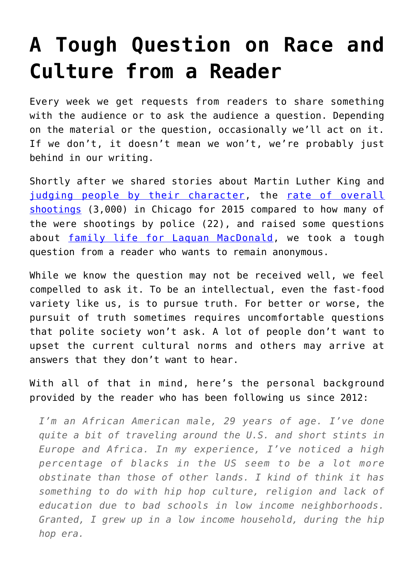## **[A Tough Question on Race and](https://intellectualtakeout.org/2016/02/a-tough-question-on-race-and-culture-from-a-reader/) [Culture from a Reader](https://intellectualtakeout.org/2016/02/a-tough-question-on-race-and-culture-from-a-reader/)**

Every week we get requests from readers to share something with the audience or to ask the audience a question. Depending on the material or the question, occasionally we'll act on it. If we don't, it doesn't mean we won't, we're probably just behind in our writing.

Shortly after we shared stories about Martin Luther King and [judging people by their character,](https://www.intellectualtakeout.org/blog/they-will-not-be-judged-color-their-skin) the [rate of overall](https://www.intellectualtakeout.org/blog/chicago-cops-new-motto-%E2%80%98stay-fetal%E2%80%99) [shootings](https://www.intellectualtakeout.org/blog/chicago-cops-new-motto-%E2%80%98stay-fetal%E2%80%99) (3,000) in Chicago for 2015 compared to how many of the were shootings by police (22), and raised some questions about [family life for Laquan MacDonald](https://www.intellectualtakeout.org/blog/tragedy-laquan-mcdonald), we took a tough question from a reader who wants to remain anonymous.

While we know the question may not be received well, we feel compelled to ask it. To be an intellectual, even the fast-food variety like us, is to pursue truth. For better or worse, the pursuit of truth sometimes requires uncomfortable questions that polite society won't ask. A lot of people don't want to upset the current cultural norms and others may arrive at answers that they don't want to hear.

With all of that in mind, here's the personal background provided by the reader who has been following us since 2012:

*I'm an African American male, 29 years of age. I've done quite a bit of traveling around the U.S. and short stints in Europe and Africa. In my experience, I've noticed a high percentage of blacks in the US seem to be a lot more obstinate than those of other lands. I kind of think it has something to do with hip hop culture, religion and lack of education due to bad schools in low income neighborhoods. Granted, I grew up in a low income household, during the hip hop era.*